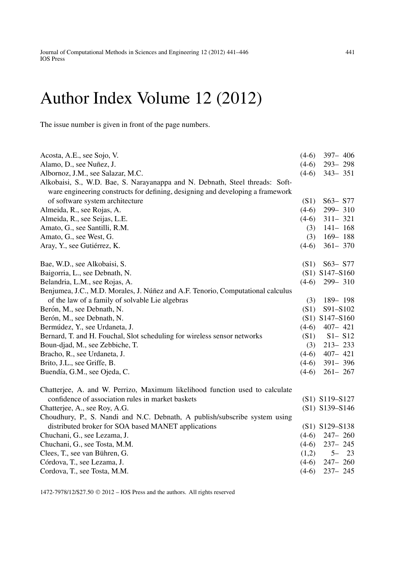## Author Index Volume 12 (2012)

The issue number is given in front of the page numbers.

| Acosta, A.E., see Sojo, V.                                                      | $(4-6)$ | $397 - 406$      |
|---------------------------------------------------------------------------------|---------|------------------|
| Alamo, D., see Nuñez, J.                                                        | $(4-6)$ | 293-298          |
| Albornoz, J.M., see Salazar, M.C.                                               | $(4-6)$ | $343 - 351$      |
| Alkobaisi, S., W.D. Bae, S. Narayanappa and N. Debnath, Steel threads: Soft-    |         |                  |
| ware engineering constructs for defining, designing and developing a framework  |         |                  |
| of software system architecture                                                 | (S1)    | $S63 - S77$      |
| Almeida, R., see Rojas, A.                                                      | $(4-6)$ | 299-310          |
| Almeida, R., see Seijas, L.E.                                                   | $(4-6)$ | $311 - 321$      |
| Amato, G., see Santilli, R.M.                                                   | (3)     | $141 - 168$      |
| Amato, G., see West, G.                                                         | (3)     | $169 - 188$      |
| Aray, Y., see Gutiérrez, K.                                                     | $(4-6)$ | $361 - 370$      |
| Bae, W.D., see Alkobaisi, S.                                                    | (S1)    | $S63 - S77$      |
| Baigorria, L., see Debnath, N.                                                  |         | $(S1)$ S147-S160 |
| Belandria, L.M., see Rojas, A.                                                  | $(4-6)$ | $299 - 310$      |
| Benjumea, J.C., M.D. Morales, J. Núñez and A.F. Tenorio, Computational calculus |         |                  |
| of the law of a family of solvable Lie algebras                                 | (3)     | 189-198          |
| Berón, M., see Debnath, N.                                                      | (S1)    | S91-S102         |
| Berón, M., see Debnath, N.                                                      |         | $(S1)$ S147-S160 |
| Bermúdez, Y., see Urdaneta, J.                                                  | $(4-6)$ | $407 - 421$      |
| Bernard, T. and H. Fouchal, Slot scheduling for wireless sensor networks        | (S1)    | $S1 - S12$       |
| Boun-djad, M., see Zebbiche, T.                                                 | (3)     | $213 - 233$      |
| Bracho, R., see Urdaneta, J.                                                    | $(4-6)$ | $407 - 421$      |
| Brito, J.L., see Griffe, B.                                                     | $(4-6)$ | $391 - 396$      |
| Buendía, G.M., see Ojeda, C.                                                    | $(4-6)$ | $261 - 267$      |
| Chatterjee, A. and W. Perrizo, Maximum likelihood function used to calculate    |         |                  |
| confidence of association rules in market baskets                               |         | (S1) S119-S127   |
| Chatterjee, A., see Roy, A.G.                                                   |         | (S1) S139-S146   |
| Choudhury, P., S. Nandi and N.C. Debnath, A publish/subscribe system using      |         |                  |
| distributed broker for SOA based MANET applications                             |         | (S1) S129-S138   |
| Chuchani, G., see Lezama, J.                                                    | $(4-6)$ | $247 - 260$      |
| Chuchani, G., see Tosta, M.M.                                                   | $(4-6)$ | $237 - 245$      |
| Clees, T., see van Bühren, G.                                                   | (1,2)   | $5 - 23$         |
| Córdova, T., see Lezama, J.                                                     | $(4-6)$ | $247 - 260$      |
| Cordova, T., see Tosta, M.M.                                                    | $(4-6)$ | $237 - 245$      |

1472-7978/12/\$27.50 2012 – IOS Press and the authors. All rights reserved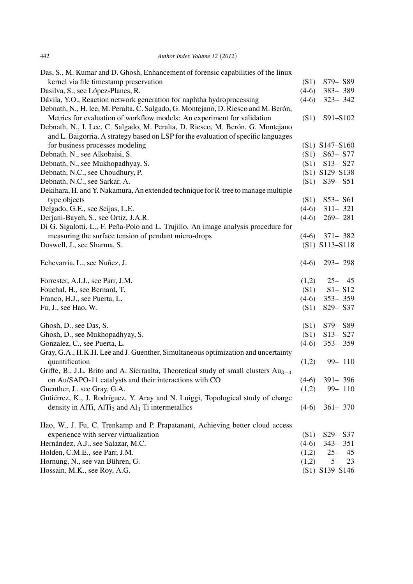| Das, S., M. Kumar and D. Ghosh, Enhancement of forensic capabilities of the linux               |         |                  |
|-------------------------------------------------------------------------------------------------|---------|------------------|
| kernel via file timestamp preservation                                                          | (S1)    | S79-S89          |
| Dasilva, S., see López-Planes, R.                                                               | $(4-6)$ | 383-389          |
| Dávila, Y.O., Reaction network generation for naphtha hydroprocessing                           | $(4-6)$ | $323 - 342$      |
| Debnath, N., H. lee, M. Peralta, C. Salgado, G. Montejano, D. Riesco and M. Berón,              |         |                  |
| Metrics for evaluation of workflow models: An experiment for validation                         | (S1)    | S91-S102         |
| Debnath, N., I. Lee, C. Salgado, M. Peralta, D. Riesco, M. Berón, G. Montejano                  |         |                  |
| and L. Baigorria, A strategy based on LSP for the evaluation of specific languages              |         |                  |
| for business processes modeling                                                                 |         | $(S1)$ S147-S160 |
| Debnath, N., see Alkobaisi, S.                                                                  | (S1)    | S63- S77         |
| Debnath, N., see Mukhopadhyay, S.                                                               | (S1)    | $S13 - S27$      |
| Debnath, N.C., see Choudhury, P.                                                                |         | (S1) S129-S138   |
| Debnath, N.C., see Sarkar, A.                                                                   | (S1)    | S39-S51          |
| Dekihara, H. and Y. Nakamura, An extended technique for R-tree to manage multiple               |         |                  |
| type objects                                                                                    | (S1)    | $S53 - S61$      |
| Delgado, G.E., see Seijas, L.E.                                                                 | $(4-6)$ | $311 - 321$      |
| Derjani-Bayeh, S., see Ortiz, J.A.R.                                                            | $(4-6)$ | $269 - 281$      |
| Di G. Sigalotti, L., F. Peña-Polo and L. Trujillo, An image analysis procedure for              |         |                  |
| measuring the surface tension of pendant micro-drops                                            | $(4-6)$ | $371 - 382$      |
| Doswell, J., see Sharma, S.                                                                     |         | $(S1)$ S113-S118 |
|                                                                                                 |         |                  |
| Echevarria, L., see Nuñez, J.                                                                   | $(4-6)$ | $293 - 298$      |
| Forrester, A.I.J., see Parr, J.M.                                                               | (1,2)   | $25 - 45$        |
| Fouchal, H., see Bernard, T.                                                                    | (S1)    | $S1 - S12$       |
| Franco, H.J., see Puerta, L.                                                                    | $(4-6)$ | $353 - 359$      |
| Fu, J., see Hao, W.                                                                             | (S1)    | S29- S37         |
|                                                                                                 |         |                  |
| Ghosh, D., see Das, S.                                                                          | (S1)    | S79-S89          |
| Ghosh, D., see Mukhopadhyay, S.                                                                 | (S1)    | $S13 - S27$      |
| Gonzalez, C., see Puerta, L.                                                                    | $(4-6)$ | $353 - 359$      |
| Gray, G.A., H.K.H. Lee and J. Guenther, Simultaneous optimization and uncertainty               |         |                  |
| quantification                                                                                  | (1,2)   | 99-110           |
| Griffe, B., J.L. Brito and A. Sierraalta, Theoretical study of small clusters Au <sub>3-4</sub> |         |                  |
| on Au/SAPO-11 catalysts and their interactions with CO                                          | $(4-6)$ | $391 - 396$      |
| Guenther, J., see Gray, G.A.                                                                    | (1,2)   | 99-110           |
| Gutiérrez, K., J. Rodríguez, Y. Aray and N. Luiggi, Topological study of charge                 |         |                  |
| density in AlTi, $\text{AITi}_3$ and $\text{Al}_3$ Ti intermetallics                            | $(4-6)$ | $361 - 370$      |
| Hao, W., J. Fu, C. Trenkamp and P. Prapatanant, Achieving better cloud access                   |         |                  |
| experience with server virtualization                                                           | (S1)    | S29-S37          |
| Hernández, A.J., see Salazar, M.C.                                                              | $(4-6)$ | $343 - 351$      |
| Holden, C.M.E., see Parr, J.M.                                                                  | (1,2)   | $25 -$<br>45     |
| Hornung, N., see van Bühren, G.                                                                 | (1,2)   | $5-$<br>23       |
| Hossain, M.K., see Roy, A.G.                                                                    |         | (S1) S139-S146   |
|                                                                                                 |         |                  |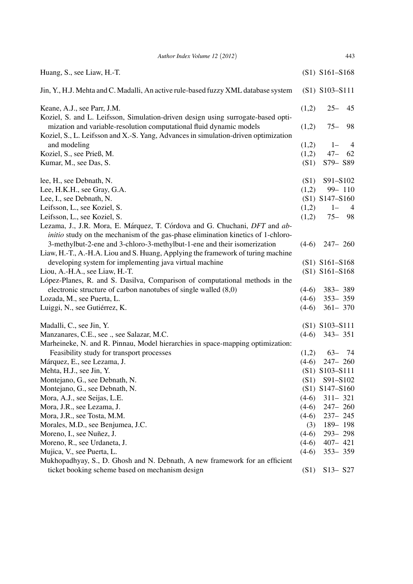| Author Index Volume 12 (2012)                                                                                                                                         |         | 443                     |
|-----------------------------------------------------------------------------------------------------------------------------------------------------------------------|---------|-------------------------|
| Huang, S., see Liaw, H.-T.                                                                                                                                            |         | $(S1)$ S161-S168        |
| Jin, Y., H.J. Mehta and C. Madalli, An active rule-based fuzzy XML database system                                                                                    |         | $(S1)$ S103-S111        |
| Keane, A.J., see Parr, J.M.<br>Koziel, S. and L. Leifsson, Simulation-driven design using surrogate-based opti-                                                       | (1,2)   | $25 -$<br>45            |
| mization and variable-resolution computational fluid dynamic models<br>Koziel, S., L. Leifsson and X.-S. Yang, Advances in simulation-driven optimization             | (1,2)   | 98<br>$75 -$            |
| and modeling                                                                                                                                                          | (1,2)   | $1 -$<br>$\overline{4}$ |
| Koziel, S., see Prieß, M.                                                                                                                                             | (1,2)   | $47 -$<br>62            |
| Kumar, M., see Das, S.                                                                                                                                                | (S1)    | S79-S89                 |
| lee, H., see Debnath, N.                                                                                                                                              | (S1)    | S91-S102                |
| Lee, H.K.H., see Gray, G.A.                                                                                                                                           | (1,2)   | 99-110                  |
| Lee, I., see Debnath, N.                                                                                                                                              |         | $(S1)$ S147-S160        |
| Leifsson, L., see Koziel, S.                                                                                                                                          | (1,2)   | $1 -$<br>$\overline{4}$ |
| Leifsson, L., see Koziel, S.                                                                                                                                          | (1,2)   | $75 - 98$               |
| Lezama, J., J.R. Mora, E. Márquez, T. Córdova and G. Chuchani, DFT and ab-<br><i>initio</i> study on the mechanism of the gas-phase elimination kinetics of 1-chloro- |         |                         |
| 3-methylbut-2-ene and 3-chloro-3-methylbut-1-ene and their isomerization<br>Liaw, H.-T., A.-H.A. Liou and S. Huang, Applying the framework of turing machine          | $(4-6)$ | $247 - 260$             |
| developing system for implementing java virtual machine                                                                                                               |         | $(S1)$ S161-S168        |
| Liou, A.-H.A., see Liaw, H.-T.                                                                                                                                        |         | $(S1)$ S161-S168        |
| López-Planes, R. and S. Dasilva, Comparison of computational methods in the                                                                                           |         |                         |
| electronic structure of carbon nanotubes of single walled (8,0)                                                                                                       | $(4-6)$ | 383-389                 |
| Lozada, M., see Puerta, L.                                                                                                                                            | $(4-6)$ | $353 - 359$             |
| Luiggi, N., see Gutiérrez, K.                                                                                                                                         | $(4-6)$ | $361 - 370$             |
| Madalli, C., see Jin, Y.                                                                                                                                              |         | $(S1)$ S103-S111        |
| Manzanares, C.E., see ., see Salazar, M.C.                                                                                                                            |         | $(4-6)$ 343-351         |
| Marheineke, N. and R. Pinnau, Model hierarchies in space-mapping optimization:                                                                                        |         |                         |
| Feasibility study for transport processes                                                                                                                             | (1,2)   | $63 - 74$               |
| Márquez, E., see Lezama, J.                                                                                                                                           |         | $(4-6)$ 247-260         |
| Mehta, H.J., see Jin, Y.                                                                                                                                              |         | $(S1)$ S103-S111        |
| Montejano, G., see Debnath, N.                                                                                                                                        | (S1)    | S91-S102                |
| Montejano, G., see Debnath, N.                                                                                                                                        |         | $(S1)$ S147-S160        |
| Mora, A.J., see Seijas, L.E.                                                                                                                                          | $(4-6)$ | $311 - 321$             |
| Mora, J.R., see Lezama, J.                                                                                                                                            | $(4-6)$ | $247 - 260$             |
| Mora, J.R., see Tosta, M.M.                                                                                                                                           | $(4-6)$ | $237 - 245$             |
| Morales, M.D., see Benjumea, J.C.                                                                                                                                     | (3)     | 189-198                 |
| Moreno, I., see Nuñez, J.                                                                                                                                             | $(4-6)$ | $293 - 298$             |
| Moreno, R., see Urdaneta, J.                                                                                                                                          | $(4-6)$ | $407 - 421$             |
| Mujica, V., see Puerta, L.                                                                                                                                            | $(4-6)$ | $353 - 359$             |
| Mukhopadhyay, S., D. Ghosh and N. Debnath, A new framework for an efficient                                                                                           |         |                         |
| ticket booking scheme based on mechanism design                                                                                                                       | (S1)    | $S13 - S27$             |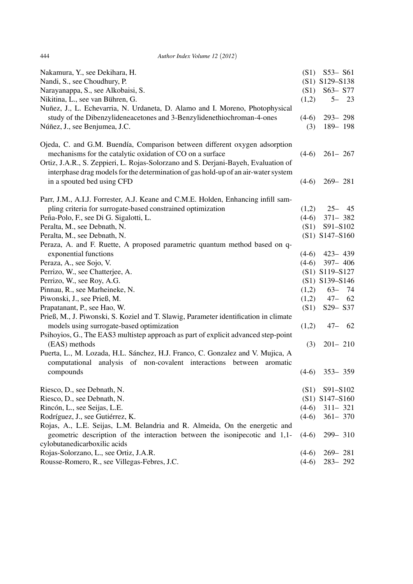| 444 | Author Index Volume 12 (2012) |
|-----|-------------------------------|
|     |                               |

| Nakamura, Y., see Dekihara, H.                                                                                                                         | (S1)    | $S53 - S61$                      |
|--------------------------------------------------------------------------------------------------------------------------------------------------------|---------|----------------------------------|
| Nandi, S., see Choudhury, P.                                                                                                                           |         | (S1) S129-S138                   |
| Narayanappa, S., see Alkobaisi, S.                                                                                                                     | (S1)    | S63- S77                         |
| Nikitina, L., see van Bühren, G.                                                                                                                       | (1,2)   | $5 - 23$                         |
| Nuñez, J., L. Echevarria, N. Urdaneta, D. Alamo and I. Moreno, Photophysical                                                                           |         |                                  |
| study of the Dibenzylideneacetones and 3-Benzylidenethiochroman-4-ones                                                                                 | $(4-6)$ | $293 - 298$                      |
| Núñez, J., see Benjumea, J.C.                                                                                                                          | (3)     | 189-198                          |
| Ojeda, C. and G.M. Buendía, Comparison between different oxygen adsorption                                                                             |         |                                  |
| mechanisms for the catalytic oxidation of CO on a surface                                                                                              | $(4-6)$ | $261 - 267$                      |
| Ortiz, J.A.R., S. Zeppieri, L. Rojas-Solorzano and S. Derjani-Bayeh, Evaluation of                                                                     |         |                                  |
| interphase drag models for the determination of gas hold-up of an air-water system                                                                     |         |                                  |
| in a spouted bed using CFD                                                                                                                             | $(4-6)$ | $269 - 281$                      |
| Parr, J.M., A.I.J. Forrester, A.J. Keane and C.M.E. Holden, Enhancing infill sam-                                                                      |         |                                  |
| pling criteria for surrogate-based constrained optimization                                                                                            | (1,2)   | $25 - 45$                        |
| Peña-Polo, F., see Di G. Sigalotti, L.                                                                                                                 | $(4-6)$ | $371 - 382$                      |
| Peralta, M., see Debnath, N.                                                                                                                           | (S1)    | S91-S102                         |
| Peralta, M., see Debnath, N.                                                                                                                           |         | $(S1)$ S147-S160                 |
| Peraza, A. and F. Ruette, A proposed parametric quantum method based on q-                                                                             |         |                                  |
| exponential functions                                                                                                                                  | $(4-6)$ | $423 - 439$                      |
| Peraza, A., see Sojo, V.                                                                                                                               | $(4-6)$ | 397-406                          |
| Perrizo, W., see Chatterjee, A.<br>Perrizo, W., see Roy, A.G.                                                                                          |         | (S1) S119-S127<br>(S1) S139-S146 |
| Pinnau, R., see Marheineke, N.                                                                                                                         | (1,2)   | $63 - 74$                        |
| Piwonski, J., see Prieß, M.                                                                                                                            | (1,2)   | $47 - 62$                        |
| Prapatanant, P., see Hao, W.                                                                                                                           | (S1)    | S <sub>29</sub> S <sub>37</sub>  |
| Prieß, M., J. Piwonski, S. Koziel and T. Slawig, Parameter identification in climate                                                                   |         |                                  |
| models using surrogate-based optimization                                                                                                              | (1,2)   | $47 -$<br>62                     |
| Psihoyios, G., The EAS3 multistep approach as part of explicit advanced step-point                                                                     |         |                                  |
| (EAS) methods                                                                                                                                          | (3)     | $201 - 210$                      |
| Puerta, L., M. Lozada, H.L. Sánchez, H.J. Franco, C. Gonzalez and V. Mujica, A<br>computational analysis of non-covalent interactions between aromatic |         |                                  |
| compounds                                                                                                                                              | $(4-6)$ | $353 - 359$                      |
| Riesco, D., see Debnath, N.                                                                                                                            | (S1)    | S91-S102                         |
| Riesco, D., see Debnath, N.                                                                                                                            |         | $(S1)$ S147-S160                 |
| Rincón, L., see Seijas, L.E.                                                                                                                           | $(4-6)$ | $311 - 321$                      |
| Rodríguez, J., see Gutiérrez, K.                                                                                                                       | $(4-6)$ | $361 - 370$                      |
| Rojas, A., L.E. Seijas, L.M. Belandria and R. Almeida, On the energetic and                                                                            |         |                                  |
| geometric description of the interaction between the isonipecotic and 1,1-<br>cylobutanedicarboxilic acids                                             | $(4-6)$ | 299-310                          |
| Rojas-Solorzano, L., see Ortiz, J.A.R.                                                                                                                 | $(4-6)$ | $269 - 281$                      |
| Rousse-Romero, R., see Villegas-Febres, J.C.                                                                                                           | $(4-6)$ | 283-292                          |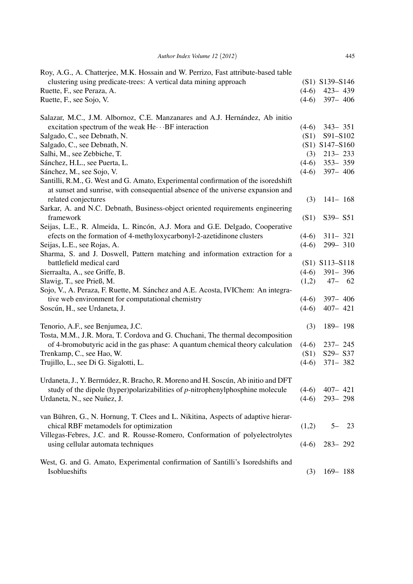| clustering using predicate-trees: A vertical data mining approach<br>Ruette, F., see Peraza, A.                                                                       | $(4-6)$ | (S1) S139-S146   |          |
|-----------------------------------------------------------------------------------------------------------------------------------------------------------------------|---------|------------------|----------|
|                                                                                                                                                                       |         |                  |          |
|                                                                                                                                                                       |         | $423 - 439$      |          |
| Ruette, F., see Sojo, V.                                                                                                                                              | $(4-6)$ | $397 - 406$      |          |
| Salazar, M.C., J.M. Albornoz, C.E. Manzanares and A.J. Hernández, Ab initio                                                                                           |         |                  |          |
| excitation spectrum of the weak $He \cdots BF$ interaction                                                                                                            | $(4-6)$ | $343 - 351$      |          |
| Salgado, C., see Debnath, N.                                                                                                                                          | (S1)    | S91-S102         |          |
| Salgado, C., see Debnath, N.                                                                                                                                          |         | $(S1)$ S147-S160 |          |
| Salhi, M., see Zebbiche, T.                                                                                                                                           | (3)     | $213 - 233$      |          |
| Sánchez, H.L., see Puerta, L.                                                                                                                                         | $(4-6)$ | 353-359          |          |
| Sánchez, M., see Sojo, V.                                                                                                                                             | $(4-6)$ | $397 - 406$      |          |
| Santilli, R.M., G. West and G. Amato, Experimental confirmation of the isoredshift<br>at sunset and sunrise, with consequential absence of the universe expansion and |         |                  |          |
| related conjectures                                                                                                                                                   | (3)     | $141 - 168$      |          |
| Sarkar, A. and N.C. Debnath, Business-object oriented requirements engineering                                                                                        |         |                  |          |
| framework                                                                                                                                                             | (S1)    | $S39 - S51$      |          |
| Seijas, L.E., R. Almeida, L. Rincón, A.J. Mora and G.E. Delgado, Cooperative                                                                                          |         |                  |          |
| efects on the formation of 4-methyloxycarbonyl-2-azetidinone clusters                                                                                                 | $(4-6)$ | $311 - 321$      |          |
| Seijas, L.E., see Rojas, A.                                                                                                                                           | $(4-6)$ | 299-310          |          |
| Sharma, S. and J. Doswell, Pattern matching and information extraction for a                                                                                          |         |                  |          |
| battlefield medical card                                                                                                                                              |         | $(S1)$ S113-S118 |          |
| Sierraalta, A., see Griffe, B.                                                                                                                                        | $(4-6)$ | $391 - 396$      |          |
| Slawig, T., see Prieß, M.                                                                                                                                             | (1,2)   | $47 - 62$        |          |
| Sojo, V., A. Peraza, F. Ruette, M. Sánchez and A.E. Acosta, IVIChem: An integra-                                                                                      |         |                  |          |
| tive web environment for computational chemistry                                                                                                                      | $(4-6)$ | $397 - 406$      |          |
| Soscún, H., see Urdaneta, J.                                                                                                                                          | $(4-6)$ | $407 - 421$      |          |
| Tenorio, A.F., see Benjumea, J.C.                                                                                                                                     | (3)     | 189-198          |          |
| Tosta, M.M., J.R. Mora, T. Cordova and G. Chuchani, The thermal decomposition                                                                                         |         |                  |          |
| of 4-bromobutyric acid in the gas phase: A quantum chemical theory calculation                                                                                        | $(4-6)$ | $237 - 245$      |          |
| Trenkamp, C., see Hao, W.                                                                                                                                             | (S1)    | S29-S37          |          |
| Trujillo, L., see Di G. Sigalotti, L.                                                                                                                                 | $(4-6)$ | 371-382          |          |
| Urdaneta, J., Y. Bermúdez, R. Bracho, R. Moreno and H. Soscún, Ab initio and DFT                                                                                      |         |                  |          |
| study of the dipole (hyper)polarizabilities of $p$ -nitrophenylphosphine molecule                                                                                     | $(4-6)$ | $407 - 421$      |          |
| Urdaneta, N., see Nuñez, J.                                                                                                                                           | $(4-6)$ | $293 - 298$      |          |
|                                                                                                                                                                       |         |                  |          |
| van Bühren, G., N. Hornung, T. Clees and L. Nikitina, Aspects of adaptive hierar-                                                                                     |         |                  |          |
| chical RBF metamodels for optimization                                                                                                                                | (1,2)   |                  | $5 - 23$ |
| Villegas-Febres, J.C. and R. Rousse-Romero, Conformation of polyelectrolytes                                                                                          |         |                  |          |
| using cellular automata techniques                                                                                                                                    | $(4-6)$ | $283 - 292$      |          |
| West, G. and G. Amato, Experimental confirmation of Santilli's Isoredshifts and                                                                                       |         |                  |          |
| Isoblueshifts                                                                                                                                                         | (3)     | $169 - 188$      |          |